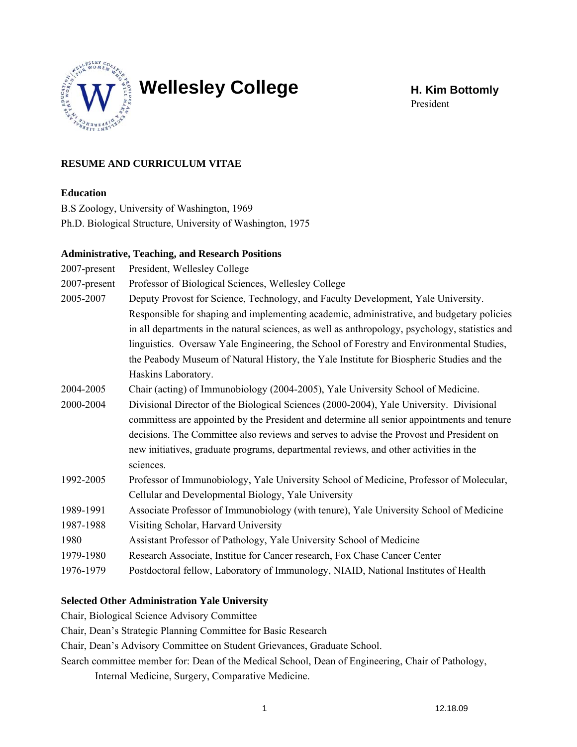

# Wellesley College **H. Kim Bottomly**

President

# **RESUME AND CURRICULUM VITAE**

## **Education**

B.S Zoology, University of Washington, 1969 Ph.D. Biological Structure, University of Washington, 1975

#### **Administrative, Teaching, and Research Positions**

| 2007-present | President, Wellesley College                                                                    |
|--------------|-------------------------------------------------------------------------------------------------|
| 2007-present | Professor of Biological Sciences, Wellesley College                                             |
| 2005-2007    | Deputy Provost for Science, Technology, and Faculty Development, Yale University.               |
|              | Responsible for shaping and implementing academic, administrative, and budgetary policies       |
|              | in all departments in the natural sciences, as well as anthropology, psychology, statistics and |
|              | linguistics. Oversaw Yale Engineering, the School of Forestry and Environmental Studies,        |
|              | the Peabody Museum of Natural History, the Yale Institute for Biospheric Studies and the        |
|              | Haskins Laboratory.                                                                             |
| 2004-2005    | Chair (acting) of Immunobiology (2004-2005), Yale University School of Medicine.                |
| 2000-2004    | Divisional Director of the Biological Sciences (2000-2004), Yale University. Divisional         |
|              | committess are appointed by the President and determine all senior appointments and tenure      |
|              | decisions. The Committee also reviews and serves to advise the Provost and President on         |
|              | new initiatives, graduate programs, departmental reviews, and other activities in the           |
|              | sciences.                                                                                       |
| 1992-2005    | Professor of Immunobiology, Yale University School of Medicine, Professor of Molecular,         |
|              | Cellular and Developmental Biology, Yale University                                             |
| 1989-1991    | Associate Professor of Immunobiology (with tenure), Yale University School of Medicine          |
| 1987-1988    | Visiting Scholar, Harvard University                                                            |
| 1980         | Assistant Professor of Pathology, Yale University School of Medicine                            |
| 1979-1980    | Research Associate, Institue for Cancer research, Fox Chase Cancer Center                       |
| 1976-1979    | Postdoctoral fellow, Laboratory of Immunology, NIAID, National Institutes of Health             |
|              |                                                                                                 |

## **Selected Other Administration Yale University**

Chair, Biological Science Advisory Committee

Chair, Dean's Strategic Planning Committee for Basic Research

Chair, Dean's Advisory Committee on Student Grievances, Graduate School.

Search committee member for: Dean of the Medical School, Dean of Engineering, Chair of Pathology, Internal Medicine, Surgery, Comparative Medicine.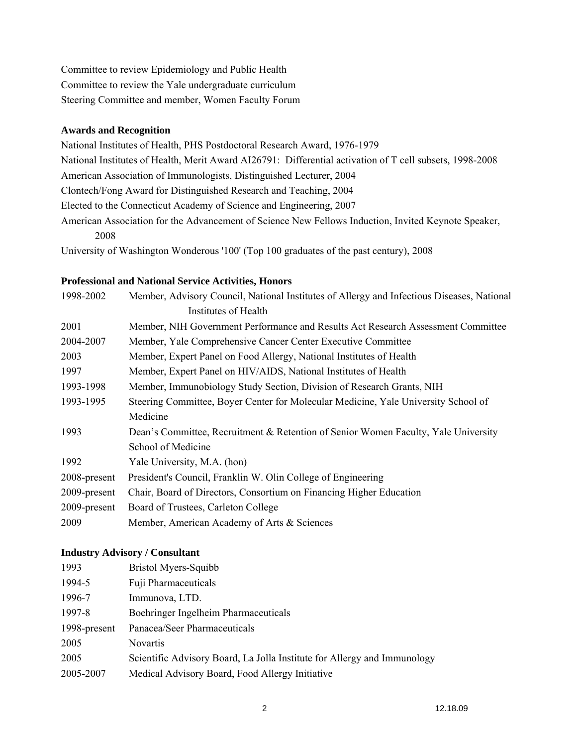Committee to review Epidemiology and Public Health Committee to review the Yale undergraduate curriculum Steering Committee and member, Women Faculty Forum

#### **Awards and Recognition**

National Institutes of Health, PHS Postdoctoral Research Award, 1976-1979 National Institutes of Health, Merit Award AI26791: Differential activation of T cell subsets, 1998-2008 American Association of Immunologists, Distinguished Lecturer, 2004 Clontech/Fong Award for Distinguished Research and Teaching, 2004 Elected to the Connecticut Academy of Science and Engineering, 2007 American Association for the Advancement of Science New Fellows Induction, Invited Keynote Speaker, 2008

University of Washington Wonderous '100' (Top 100 graduates of the past century), 2008

## **Professional and National Service Activities, Honors**

| 1998-2002    | Member, Advisory Council, National Institutes of Allergy and Infectious Diseases, National |
|--------------|--------------------------------------------------------------------------------------------|
|              | Institutes of Health                                                                       |
| 2001         | Member, NIH Government Performance and Results Act Research Assessment Committee           |
| 2004-2007    | Member, Yale Comprehensive Cancer Center Executive Committee                               |
| 2003         | Member, Expert Panel on Food Allergy, National Institutes of Health                        |
| 1997         | Member, Expert Panel on HIV/AIDS, National Institutes of Health                            |
| 1993-1998    | Member, Immunobiology Study Section, Division of Research Grants, NIH                      |
| 1993-1995    | Steering Committee, Boyer Center for Molecular Medicine, Yale University School of         |
|              | Medicine                                                                                   |
| 1993         | Dean's Committee, Recruitment & Retention of Senior Women Faculty, Yale University         |
|              | School of Medicine                                                                         |
| 1992         | Yale University, M.A. (hon)                                                                |
| 2008-present | President's Council, Franklin W. Olin College of Engineering                               |
| 2009-present | Chair, Board of Directors, Consortium on Financing Higher Education                        |
| 2009-present | Board of Trustees, Carleton College                                                        |
| 2009         | Member, American Academy of Arts & Sciences                                                |

## **Industry Advisory / Consultant**

| 1993         | Bristol Myers-Squibb                                                     |
|--------------|--------------------------------------------------------------------------|
| 1994-5       | Fuji Pharmaceuticals                                                     |
| 1996-7       | Immunova, LTD.                                                           |
| 1997-8       | Boehringer Ingelheim Pharmaceuticals                                     |
| 1998-present | Panacea/Seer Pharmaceuticals                                             |
| 2005         | <b>Novartis</b>                                                          |
| 2005         | Scientific Advisory Board, La Jolla Institute for Allergy and Immunology |
| 2005-2007    | Medical Advisory Board, Food Allergy Initiative                          |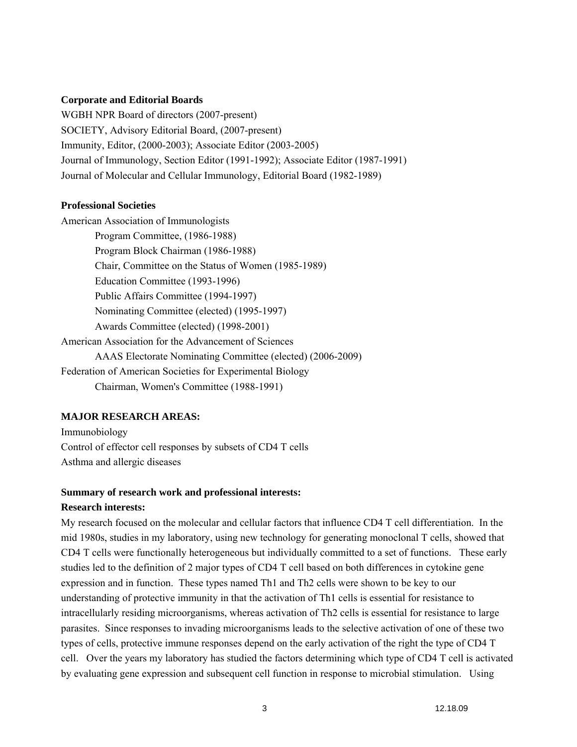#### **Corporate and Editorial Boards**

WGBH NPR Board of directors (2007-present) SOCIETY, Advisory Editorial Board, (2007-present) Immunity, Editor, (2000-2003); Associate Editor (2003-2005) Journal of Immunology, Section Editor (1991-1992); Associate Editor (1987-1991) Journal of Molecular and Cellular Immunology, Editorial Board (1982-1989)

#### **Professional Societies**

American Association of Immunologists Program Committee, (1986-1988) Program Block Chairman (1986-1988) Chair, Committee on the Status of Women (1985-1989) Education Committee (1993-1996) Public Affairs Committee (1994-1997) Nominating Committee (elected) (1995-1997) Awards Committee (elected) (1998-2001) American Association for the Advancement of Sciences AAAS Electorate Nominating Committee (elected) (2006-2009) Federation of American Societies for Experimental Biology Chairman, Women's Committee (1988-1991)

#### **MAJOR RESEARCH AREAS:**

Immunobiology Control of effector cell responses by subsets of CD4 T cells Asthma and allergic diseases

## **Summary of research work and professional interests:**

#### **Research interests:**

My research focused on the molecular and cellular factors that influence CD4 T cell differentiation. In the mid 1980s, studies in my laboratory, using new technology for generating monoclonal T cells, showed that CD4 T cells were functionally heterogeneous but individually committed to a set of functions. These early studies led to the definition of 2 major types of CD4 T cell based on both differences in cytokine gene expression and in function. These types named Th1 and Th2 cells were shown to be key to our understanding of protective immunity in that the activation of Th1 cells is essential for resistance to intracellularly residing microorganisms, whereas activation of Th2 cells is essential for resistance to large parasites. Since responses to invading microorganisms leads to the selective activation of one of these two types of cells, protective immune responses depend on the early activation of the right the type of CD4 T cell. Over the years my laboratory has studied the factors determining which type of CD4 T cell is activated by evaluating gene expression and subsequent cell function in response to microbial stimulation. Using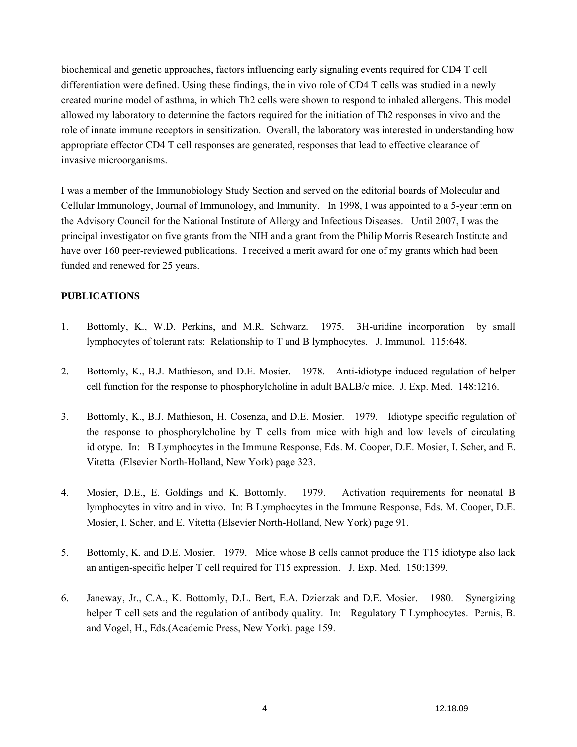biochemical and genetic approaches, factors influencing early signaling events required for CD4 T cell differentiation were defined. Using these findings, the in vivo role of CD4 T cells was studied in a newly created murine model of asthma, in which Th2 cells were shown to respond to inhaled allergens. This model allowed my laboratory to determine the factors required for the initiation of Th2 responses in vivo and the role of innate immune receptors in sensitization. Overall, the laboratory was interested in understanding how appropriate effector CD4 T cell responses are generated, responses that lead to effective clearance of invasive microorganisms.

I was a member of the Immunobiology Study Section and served on the editorial boards of Molecular and Cellular Immunology, Journal of Immunology, and Immunity. In 1998, I was appointed to a 5-year term on the Advisory Council for the National Institute of Allergy and Infectious Diseases. Until 2007, I was the principal investigator on five grants from the NIH and a grant from the Philip Morris Research Institute and have over 160 peer-reviewed publications. I received a merit award for one of my grants which had been funded and renewed for 25 years.

#### **PUBLICATIONS**

- 1. Bottomly, K., W.D. Perkins, and M.R. Schwarz. 1975. 3H-uridine incorporation by small lymphocytes of tolerant rats: Relationship to T and B lymphocytes. J. Immunol. 115:648.
- 2. Bottomly, K., B.J. Mathieson, and D.E. Mosier. 1978. Anti-idiotype induced regulation of helper cell function for the response to phosphorylcholine in adult BALB/c mice. J. Exp. Med. 148:1216.
- 3. Bottomly, K., B.J. Mathieson, H. Cosenza, and D.E. Mosier. 1979. Idiotype specific regulation of the response to phosphorylcholine by T cells from mice with high and low levels of circulating idiotype. In: B Lymphocytes in the Immune Response, Eds. M. Cooper, D.E. Mosier, I. Scher, and E. Vitetta (Elsevier North-Holland, New York) page 323.
- 4. Mosier, D.E., E. Goldings and K. Bottomly. 1979. Activation requirements for neonatal B lymphocytes in vitro and in vivo. In: B Lymphocytes in the Immune Response, Eds. M. Cooper, D.E. Mosier, I. Scher, and E. Vitetta (Elsevier North-Holland, New York) page 91.
- 5. Bottomly, K. and D.E. Mosier. 1979. Mice whose B cells cannot produce the T15 idiotype also lack an antigen-specific helper T cell required for T15 expression. J. Exp. Med. 150:1399.
- 6. Janeway, Jr., C.A., K. Bottomly, D.L. Bert, E.A. Dzierzak and D.E. Mosier. 1980. Synergizing helper T cell sets and the regulation of antibody quality. In: Regulatory T Lymphocytes. Pernis, B. and Vogel, H., Eds.(Academic Press, New York). page 159.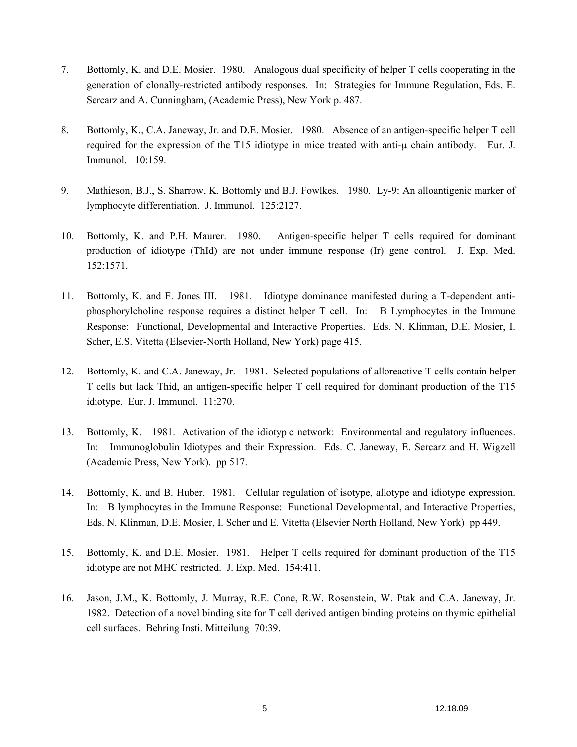- 7. Bottomly, K. and D.E. Mosier. 1980. Analogous dual specificity of helper T cells cooperating in the generation of clonally-restricted antibody responses. In: Strategies for Immune Regulation, Eds. E. Sercarz and A. Cunningham, (Academic Press), New York p. 487.
- 8. Bottomly, K., C.A. Janeway, Jr. and D.E. Mosier. 1980. Absence of an antigen-specific helper T cell required for the expression of the T15 idiotype in mice treated with anti-µ chain antibody. Eur. J. Immunol. 10:159.
- 9. Mathieson, B.J., S. Sharrow, K. Bottomly and B.J. Fowlkes. 1980. Ly-9: An alloantigenic marker of lymphocyte differentiation. J. Immunol. 125:2127.
- 10. Bottomly, K. and P.H. Maurer. 1980. Antigen-specific helper T cells required for dominant production of idiotype (ThId) are not under immune response (Ir) gene control. J. Exp. Med. 152:1571.
- 11. Bottomly, K. and F. Jones III. 1981. Idiotype dominance manifested during a T-dependent antiphosphorylcholine response requires a distinct helper T cell. In: B Lymphocytes in the Immune Response: Functional, Developmental and Interactive Properties. Eds. N. Klinman, D.E. Mosier, I. Scher, E.S. Vitetta (Elsevier-North Holland, New York) page 415.
- 12. Bottomly, K. and C.A. Janeway, Jr. 1981. Selected populations of alloreactive T cells contain helper T cells but lack Thid, an antigen-specific helper T cell required for dominant production of the T15 idiotype. Eur. J. Immunol. 11:270.
- 13. Bottomly, K. 1981. Activation of the idiotypic network: Environmental and regulatory influences. In: Immunoglobulin Idiotypes and their Expression. Eds. C. Janeway, E. Sercarz and H. Wigzell (Academic Press, New York). pp 517.
- 14. Bottomly, K. and B. Huber. 1981. Cellular regulation of isotype, allotype and idiotype expression. In: B lymphocytes in the Immune Response: Functional Developmental, and Interactive Properties, Eds. N. Klinman, D.E. Mosier, I. Scher and E. Vitetta (Elsevier North Holland, New York) pp 449.
- 15. Bottomly, K. and D.E. Mosier. 1981. Helper T cells required for dominant production of the T15 idiotype are not MHC restricted. J. Exp. Med. 154:411.
- 16. Jason, J.M., K. Bottomly, J. Murray, R.E. Cone, R.W. Rosenstein, W. Ptak and C.A. Janeway, Jr. 1982. Detection of a novel binding site for T cell derived antigen binding proteins on thymic epithelial cell surfaces. Behring Insti. Mitteilung 70:39.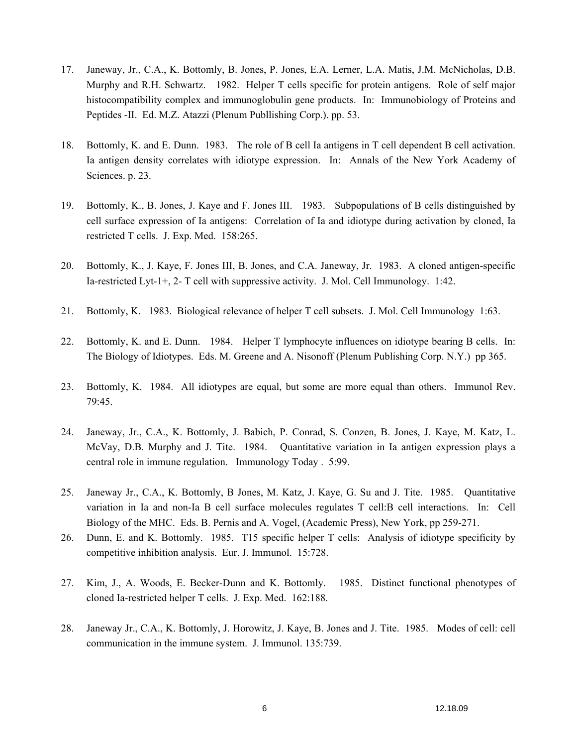- 17. Janeway, Jr., C.A., K. Bottomly, B. Jones, P. Jones, E.A. Lerner, L.A. Matis, J.M. McNicholas, D.B. Murphy and R.H. Schwartz. 1982. Helper T cells specific for protein antigens. Role of self major histocompatibility complex and immunoglobulin gene products. In: Immunobiology of Proteins and Peptides -II. Ed. M.Z. Atazzi (Plenum Publlishing Corp.). pp. 53.
- 18. Bottomly, K. and E. Dunn. 1983. The role of B cell Ia antigens in T cell dependent B cell activation. Ia antigen density correlates with idiotype expression. In: Annals of the New York Academy of Sciences. p. 23.
- 19. Bottomly, K., B. Jones, J. Kaye and F. Jones III. 1983. Subpopulations of B cells distinguished by cell surface expression of Ia antigens: Correlation of Ia and idiotype during activation by cloned, Ia restricted T cells. J. Exp. Med. 158:265.
- 20. Bottomly, K., J. Kaye, F. Jones III, B. Jones, and C.A. Janeway, Jr. 1983. A cloned antigen-specific Ia-restricted Lyt-1+, 2- T cell with suppressive activity. J. Mol. Cell Immunology. 1:42.
- 21. Bottomly, K. 1983. Biological relevance of helper T cell subsets. J. Mol. Cell Immunology 1:63.
- 22. Bottomly, K. and E. Dunn. 1984. Helper T lymphocyte influences on idiotype bearing B cells. In: The Biology of Idiotypes. Eds. M. Greene and A. Nisonoff (Plenum Publishing Corp. N.Y.) pp 365.
- 23. Bottomly, K. 1984. All idiotypes are equal, but some are more equal than others. Immunol Rev. 79:45.
- 24. Janeway, Jr., C.A., K. Bottomly, J. Babich, P. Conrad, S. Conzen, B. Jones, J. Kaye, M. Katz, L. McVay, D.B. Murphy and J. Tite. 1984. Quantitative variation in Ia antigen expression plays a central role in immune regulation. Immunology Today . 5:99.
- 25. Janeway Jr., C.A., K. Bottomly, B Jones, M. Katz, J. Kaye, G. Su and J. Tite. 1985. Quantitative variation in Ia and non-Ia B cell surface molecules regulates T cell:B cell interactions. In: Cell Biology of the MHC. Eds. B. Pernis and A. Vogel, (Academic Press), New York, pp 259-271.
- 26. Dunn, E. and K. Bottomly. 1985. T15 specific helper T cells: Analysis of idiotype specificity by competitive inhibition analysis. Eur. J. Immunol. 15:728.
- 27. Kim, J., A. Woods, E. Becker-Dunn and K. Bottomly. 1985. Distinct functional phenotypes of cloned Ia-restricted helper T cells. J. Exp. Med. 162:188.
- 28. Janeway Jr., C.A., K. Bottomly, J. Horowitz, J. Kaye, B. Jones and J. Tite. 1985. Modes of cell: cell communication in the immune system. J. Immunol. 135:739.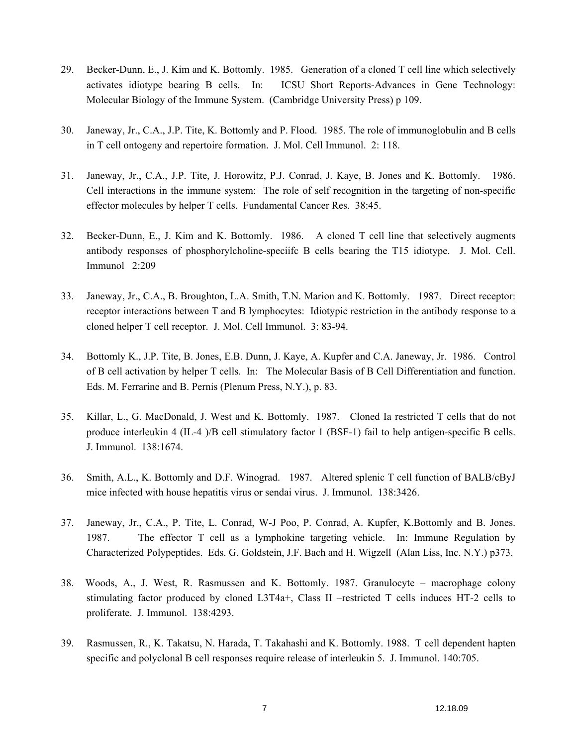- 29. Becker-Dunn, E., J. Kim and K. Bottomly. 1985. Generation of a cloned T cell line which selectively activates idiotype bearing B cells. In: ICSU Short Reports-Advances in Gene Technology: Molecular Biology of the Immune System. (Cambridge University Press) p 109.
- 30. Janeway, Jr., C.A., J.P. Tite, K. Bottomly and P. Flood. 1985. The role of immunoglobulin and B cells in T cell ontogeny and repertoire formation. J. Mol. Cell Immunol. 2: 118.
- 31. Janeway, Jr., C.A., J.P. Tite, J. Horowitz, P.J. Conrad, J. Kaye, B. Jones and K. Bottomly. 1986. Cell interactions in the immune system: The role of self recognition in the targeting of non-specific effector molecules by helper T cells. Fundamental Cancer Res. 38:45.
- 32. Becker-Dunn, E., J. Kim and K. Bottomly. 1986. A cloned T cell line that selectively augments antibody responses of phosphorylcholine-speciifc B cells bearing the T15 idiotype. J. Mol. Cell. Immunol 2:209
- 33. Janeway, Jr., C.A., B. Broughton, L.A. Smith, T.N. Marion and K. Bottomly. 1987. Direct receptor: receptor interactions between T and B lymphocytes: Idiotypic restriction in the antibody response to a cloned helper T cell receptor. J. Mol. Cell Immunol. 3: 83-94.
- 34. Bottomly K., J.P. Tite, B. Jones, E.B. Dunn, J. Kaye, A. Kupfer and C.A. Janeway, Jr. 1986. Control of B cell activation by helper T cells. In: The Molecular Basis of B Cell Differentiation and function. Eds. M. Ferrarine and B. Pernis (Plenum Press, N.Y.), p. 83.
- 35. Killar, L., G. MacDonald, J. West and K. Bottomly. 1987. Cloned Ia restricted T cells that do not produce interleukin 4 (IL-4 )/B cell stimulatory factor 1 (BSF-1) fail to help antigen-specific B cells. J. Immunol. 138:1674.
- 36. Smith, A.L., K. Bottomly and D.F. Winograd. 1987. Altered splenic T cell function of BALB/cByJ mice infected with house hepatitis virus or sendai virus. J. Immunol. 138:3426.
- 37. Janeway, Jr., C.A., P. Tite, L. Conrad, W-J Poo, P. Conrad, A. Kupfer, K.Bottomly and B. Jones. 1987. The effector T cell as a lymphokine targeting vehicle. In: Immune Regulation by Characterized Polypeptides. Eds. G. Goldstein, J.F. Bach and H. Wigzell (Alan Liss, Inc. N.Y.) p373.
- 38. Woods, A., J. West, R. Rasmussen and K. Bottomly. 1987. Granulocyte macrophage colony stimulating factor produced by cloned L3T4a+, Class II –restricted T cells induces HT-2 cells to proliferate. J. Immunol. 138:4293.
- 39. Rasmussen, R., K. Takatsu, N. Harada, T. Takahashi and K. Bottomly. 1988. T cell dependent hapten specific and polyclonal B cell responses require release of interleukin 5. J. Immunol. 140:705.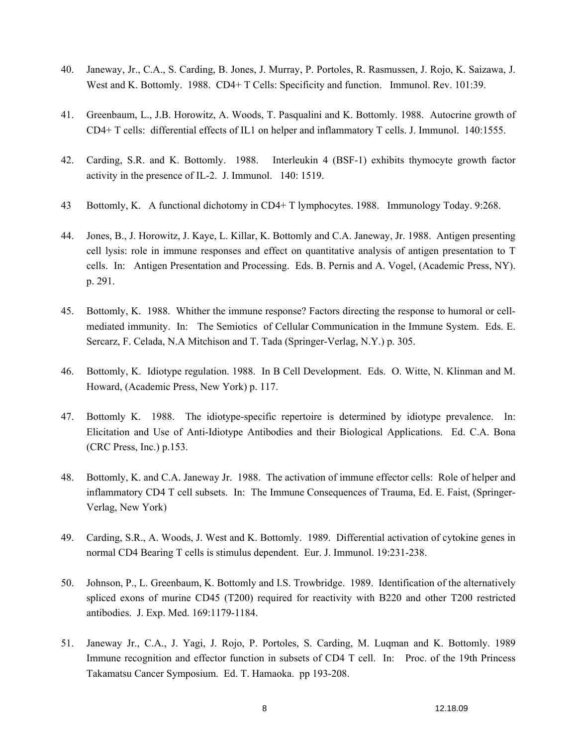- 40. Janeway, Jr., C.A., S. Carding, B. Jones, J. Murray, P. Portoles, R. Rasmussen, J. Rojo, K. Saizawa, J. West and K. Bottomly. 1988. CD4+ T Cells: Specificity and function. Immunol. Rev. 101:39.
- 41. Greenbaum, L., J.B. Horowitz, A. Woods, T. Pasqualini and K. Bottomly. 1988. Autocrine growth of CD4+ T cells: differential effects of IL1 on helper and inflammatory T cells. J. Immunol. 140:1555.
- 42. Carding, S.R. and K. Bottomly. 1988. Interleukin 4 (BSF-1) exhibits thymocyte growth factor activity in the presence of IL-2. J. Immunol. 140: 1519.
- 43 Bottomly, K. A functional dichotomy in CD4+ T lymphocytes. 1988. Immunology Today. 9:268.
- 44. Jones, B., J. Horowitz, J. Kaye, L. Killar, K. Bottomly and C.A. Janeway, Jr. 1988. Antigen presenting cell lysis: role in immune responses and effect on quantitative analysis of antigen presentation to T cells. In: Antigen Presentation and Processing. Eds. B. Pernis and A. Vogel, (Academic Press, NY). p. 291.
- 45. Bottomly, K. 1988. Whither the immune response? Factors directing the response to humoral or cellmediated immunity. In: The Semiotics of Cellular Communication in the Immune System. Eds. E. Sercarz, F. Celada, N.A Mitchison and T. Tada (Springer-Verlag, N.Y.) p. 305.
- 46. Bottomly, K. Idiotype regulation. 1988. In B Cell Development. Eds. O. Witte, N. Klinman and M. Howard, (Academic Press, New York) p. 117.
- 47. Bottomly K. 1988. The idiotype-specific repertoire is determined by idiotype prevalence. In: Elicitation and Use of Anti-Idiotype Antibodies and their Biological Applications. Ed. C.A. Bona (CRC Press, Inc.) p.153.
- 48. Bottomly, K. and C.A. Janeway Jr. 1988. The activation of immune effector cells: Role of helper and inflammatory CD4 T cell subsets. In: The Immune Consequences of Trauma, Ed. E. Faist, (Springer-Verlag, New York)
- 49. Carding, S.R., A. Woods, J. West and K. Bottomly. 1989. Differential activation of cytokine genes in normal CD4 Bearing T cells is stimulus dependent. Eur. J. Immunol. 19:231-238.
- 50. Johnson, P., L. Greenbaum, K. Bottomly and I.S. Trowbridge. 1989. Identification of the alternatively spliced exons of murine CD45 (T200) required for reactivity with B220 and other T200 restricted antibodies. J. Exp. Med. 169:1179-1184.
- 51. Janeway Jr., C.A., J. Yagi, J. Rojo, P. Portoles, S. Carding, M. Luqman and K. Bottomly. 1989 Immune recognition and effector function in subsets of CD4 T cell. In: Proc. of the 19th Princess Takamatsu Cancer Symposium. Ed. T. Hamaoka. pp 193-208.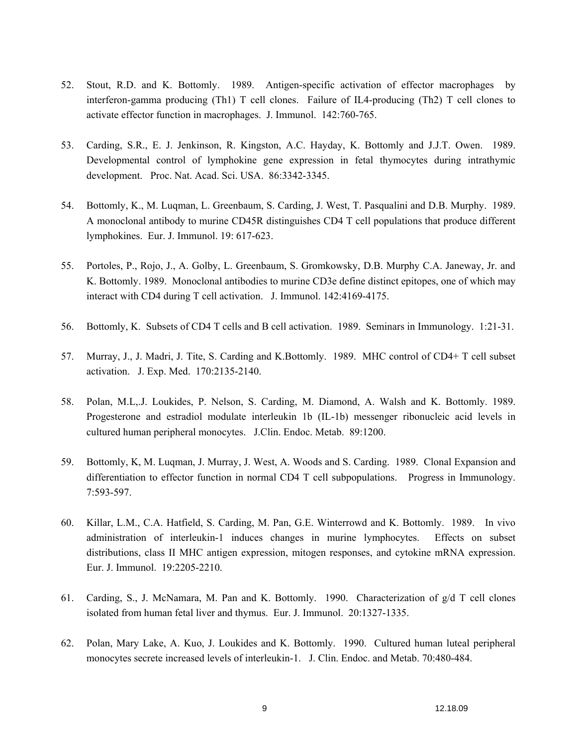- 52. Stout, R.D. and K. Bottomly. 1989. Antigen-specific activation of effector macrophages by interferon-gamma producing (Th1) T cell clones. Failure of IL4-producing (Th2) T cell clones to activate effector function in macrophages. J. Immunol. 142:760-765.
- 53. Carding, S.R., E. J. Jenkinson, R. Kingston, A.C. Hayday, K. Bottomly and J.J.T. Owen. 1989. Developmental control of lymphokine gene expression in fetal thymocytes during intrathymic development. Proc. Nat. Acad. Sci. USA. 86:3342-3345.
- 54. Bottomly, K., M. Luqman, L. Greenbaum, S. Carding, J. West, T. Pasqualini and D.B. Murphy. 1989. A monoclonal antibody to murine CD45R distinguishes CD4 T cell populations that produce different lymphokines. Eur. J. Immunol. 19: 617-623.
- 55. Portoles, P., Rojo, J., A. Golby, L. Greenbaum, S. Gromkowsky, D.B. Murphy C.A. Janeway, Jr. and K. Bottomly. 1989. Monoclonal antibodies to murine CD3e define distinct epitopes, one of which may interact with CD4 during T cell activation. J. Immunol. 142:4169-4175.
- 56. Bottomly, K. Subsets of CD4 T cells and B cell activation. 1989. Seminars in Immunology. 1:21-31.
- 57. Murray, J., J. Madri, J. Tite, S. Carding and K.Bottomly. 1989. MHC control of CD4+ T cell subset activation. J. Exp. Med. 170:2135-2140.
- 58. Polan, M.L,.J. Loukides, P. Nelson, S. Carding, M. Diamond, A. Walsh and K. Bottomly. 1989. Progesterone and estradiol modulate interleukin 1b (IL-1b) messenger ribonucleic acid levels in cultured human peripheral monocytes. J.Clin. Endoc. Metab. 89:1200.
- 59. Bottomly, K, M. Luqman, J. Murray, J. West, A. Woods and S. Carding. 1989. Clonal Expansion and differentiation to effector function in normal CD4 T cell subpopulations. Progress in Immunology. 7:593-597.
- 60. Killar, L.M., C.A. Hatfield, S. Carding, M. Pan, G.E. Winterrowd and K. Bottomly. 1989. In vivo administration of interleukin-1 induces changes in murine lymphocytes. Effects on subset distributions, class II MHC antigen expression, mitogen responses, and cytokine mRNA expression. Eur. J. Immunol. 19:2205-2210.
- 61. Carding, S., J. McNamara, M. Pan and K. Bottomly. 1990. Characterization of  $g/dT$  cell clones isolated from human fetal liver and thymus. Eur. J. Immunol. 20:1327-1335.
- 62. Polan, Mary Lake, A. Kuo, J. Loukides and K. Bottomly. 1990. Cultured human luteal peripheral monocytes secrete increased levels of interleukin-1. J. Clin. Endoc. and Metab. 70:480-484.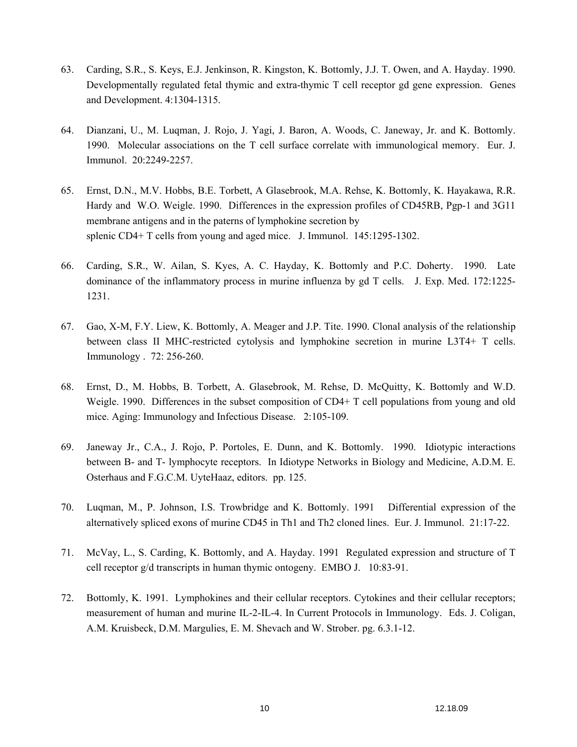- 63. Carding, S.R., S. Keys, E.J. Jenkinson, R. Kingston, K. Bottomly, J.J. T. Owen, and A. Hayday. 1990. Developmentally regulated fetal thymic and extra-thymic T cell receptor gd gene expression. Genes and Development. 4:1304-1315.
- 64. Dianzani, U., M. Luqman, J. Rojo, J. Yagi, J. Baron, A. Woods, C. Janeway, Jr. and K. Bottomly. 1990. Molecular associations on the T cell surface correlate with immunological memory. Eur. J. Immunol. 20:2249-2257.
- 65. Ernst, D.N., M.V. Hobbs, B.E. Torbett, A Glasebrook, M.A. Rehse, K. Bottomly, K. Hayakawa, R.R. Hardy and W.O. Weigle. 1990. Differences in the expression profiles of CD45RB, Pgp-1 and 3G11 membrane antigens and in the paterns of lymphokine secretion by splenic CD4+ T cells from young and aged mice. J. Immunol. 145:1295-1302.
- 66. Carding, S.R., W. Ailan, S. Kyes, A. C. Hayday, K. Bottomly and P.C. Doherty. 1990. Late dominance of the inflammatory process in murine influenza by gd T cells. J. Exp. Med. 172:1225- 1231.
- 67. Gao, X-M, F.Y. Liew, K. Bottomly, A. Meager and J.P. Tite. 1990. Clonal analysis of the relationship between class II MHC-restricted cytolysis and lymphokine secretion in murine L3T4+ T cells. Immunology . 72: 256-260.
- 68. Ernst, D., M. Hobbs, B. Torbett, A. Glasebrook, M. Rehse, D. McQuitty, K. Bottomly and W.D. Weigle. 1990. Differences in the subset composition of CD4+ T cell populations from young and old mice. Aging: Immunology and Infectious Disease. 2:105-109.
- 69. Janeway Jr., C.A., J. Rojo, P. Portoles, E. Dunn, and K. Bottomly. 1990. Idiotypic interactions between B- and T- lymphocyte receptors. In Idiotype Networks in Biology and Medicine, A.D.M. E. Osterhaus and F.G.C.M. UyteHaaz, editors. pp. 125.
- 70. Luqman, M., P. Johnson, I.S. Trowbridge and K. Bottomly. 1991 Differential expression of the alternatively spliced exons of murine CD45 in Th1 and Th2 cloned lines. Eur. J. Immunol. 21:17-22.
- 71. McVay, L., S. Carding, K. Bottomly, and A. Hayday. 1991 Regulated expression and structure of T cell receptor g/d transcripts in human thymic ontogeny. EMBO J. 10:83-91.
- 72. Bottomly, K. 1991. Lymphokines and their cellular receptors. Cytokines and their cellular receptors; measurement of human and murine IL-2-IL-4. In Current Protocols in Immunology. Eds. J. Coligan, A.M. Kruisbeck, D.M. Margulies, E. M. Shevach and W. Strober. pg. 6.3.1-12.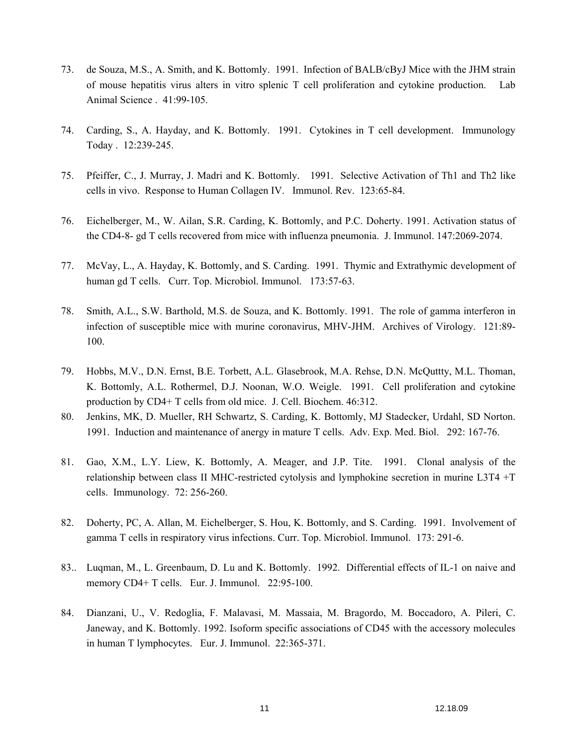- 73. de Souza, M.S., A. Smith, and K. Bottomly. 1991. Infection of BALB/cByJ Mice with the JHM strain of mouse hepatitis virus alters in vitro splenic T cell proliferation and cytokine production. Lab Animal Science . 41:99-105.
- 74. Carding, S., A. Hayday, and K. Bottomly. 1991. Cytokines in T cell development. Immunology Today . 12:239-245.
- 75. Pfeiffer, C., J. Murray, J. Madri and K. Bottomly. 1991. Selective Activation of Th1 and Th2 like cells in vivo. Response to Human Collagen IV. Immunol. Rev. 123:65-84.
- 76. Eichelberger, M., W. Ailan, S.R. Carding, K. Bottomly, and P.C. Doherty. 1991. Activation status of the CD4-8- gd T cells recovered from mice with influenza pneumonia. J. Immunol. 147:2069-2074.
- 77. McVay, L., A. Hayday, K. Bottomly, and S. Carding. 1991. Thymic and Extrathymic development of human gd T cells. Curr. Top. Microbiol. Immunol. 173:57-63.
- 78. Smith, A.L., S.W. Barthold, M.S. de Souza, and K. Bottomly. 1991. The role of gamma interferon in infection of susceptible mice with murine coronavirus, MHV-JHM. Archives of Virology. 121:89- 100.
- 79. Hobbs, M.V., D.N. Ernst, B.E. Torbett, A.L. Glasebrook, M.A. Rehse, D.N. McQuttty, M.L. Thoman, K. Bottomly, A.L. Rothermel, D.J. Noonan, W.O. Weigle. 1991. Cell proliferation and cytokine production by CD4+ T cells from old mice. J. Cell. Biochem. 46:312.
- 80. Jenkins, MK, D. Mueller, RH Schwartz, S. Carding, K. Bottomly, MJ Stadecker, Urdahl, SD Norton. 1991. Induction and maintenance of anergy in mature T cells. Adv. Exp. Med. Biol. 292: 167-76.
- 81. Gao, X.M., L.Y. Liew, K. Bottomly, A. Meager, and J.P. Tite. 1991. Clonal analysis of the relationship between class II MHC-restricted cytolysis and lymphokine secretion in murine L3T4 +T cells. Immunology. 72: 256-260.
- 82. Doherty, PC, A. Allan, M. Eichelberger, S. Hou, K. Bottomly, and S. Carding. 1991. Involvement of gamma T cells in respiratory virus infections. Curr. Top. Microbiol. Immunol. 173: 291-6.
- 83.. Luqman, M., L. Greenbaum, D. Lu and K. Bottomly. 1992. Differential effects of IL-1 on naive and memory CD4+ T cells. Eur. J. Immunol. 22:95-100.
- 84. Dianzani, U., V. Redoglia, F. Malavasi, M. Massaia, M. Bragordo, M. Boccadoro, A. Pileri, C. Janeway, and K. Bottomly. 1992. Isoform specific associations of CD45 with the accessory molecules in human T lymphocytes. Eur. J. Immunol. 22:365-371.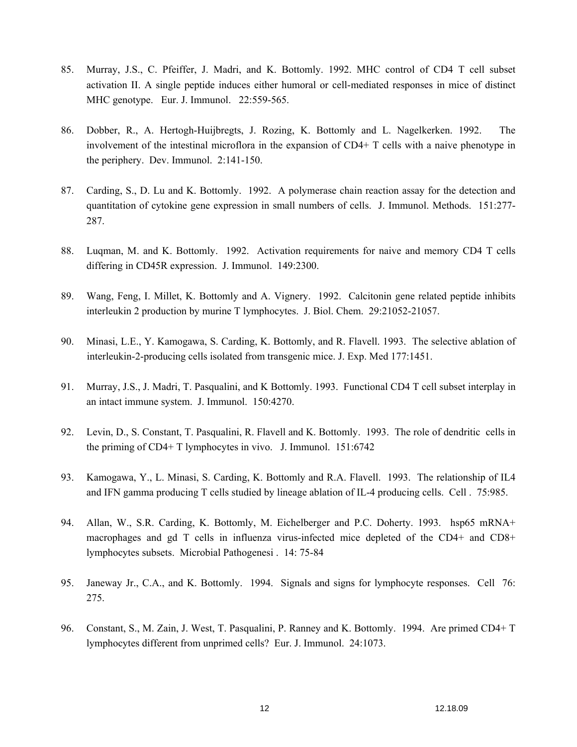- 85. Murray, J.S., C. Pfeiffer, J. Madri, and K. Bottomly. 1992. MHC control of CD4 T cell subset activation II. A single peptide induces either humoral or cell-mediated responses in mice of distinct MHC genotype. Eur. J. Immunol. 22:559-565.
- 86. Dobber, R., A. Hertogh-Huijbregts, J. Rozing, K. Bottomly and L. Nagelkerken. 1992. The involvement of the intestinal microflora in the expansion of CD4+ T cells with a naive phenotype in the periphery. Dev. Immunol. 2:141-150.
- 87. Carding, S., D. Lu and K. Bottomly. 1992. A polymerase chain reaction assay for the detection and quantitation of cytokine gene expression in small numbers of cells. J. Immunol. Methods. 151:277- 287.
- 88. Luqman, M. and K. Bottomly. 1992. Activation requirements for naive and memory CD4 T cells differing in CD45R expression. J. Immunol. 149:2300.
- 89. Wang, Feng, I. Millet, K. Bottomly and A. Vignery. 1992. Calcitonin gene related peptide inhibits interleukin 2 production by murine T lymphocytes. J. Biol. Chem. 29:21052-21057.
- 90. Minasi, L.E., Y. Kamogawa, S. Carding, K. Bottomly, and R. Flavell. 1993. The selective ablation of interleukin-2-producing cells isolated from transgenic mice. J. Exp. Med 177:1451.
- 91. Murray, J.S., J. Madri, T. Pasqualini, and K Bottomly. 1993. Functional CD4 T cell subset interplay in an intact immune system. J. Immunol. 150:4270.
- 92. Levin, D., S. Constant, T. Pasqualini, R. Flavell and K. Bottomly. 1993. The role of dendritic cells in the priming of CD4+ T lymphocytes in vivo. J. Immunol. 151:6742
- 93. Kamogawa, Y., L. Minasi, S. Carding, K. Bottomly and R.A. Flavell. 1993. The relationship of IL4 and IFN gamma producing T cells studied by lineage ablation of IL-4 producing cells. Cell . 75:985.
- 94. Allan, W., S.R. Carding, K. Bottomly, M. Eichelberger and P.C. Doherty. 1993. hsp65 mRNA+ macrophages and gd T cells in influenza virus-infected mice depleted of the CD4+ and CD8+ lymphocytes subsets. Microbial Pathogenesi . 14: 75-84
- 95. Janeway Jr., C.A., and K. Bottomly. 1994. Signals and signs for lymphocyte responses. Cell 76: 275.
- 96. Constant, S., M. Zain, J. West, T. Pasqualini, P. Ranney and K. Bottomly. 1994. Are primed CD4+ T lymphocytes different from unprimed cells? Eur. J. Immunol. 24:1073.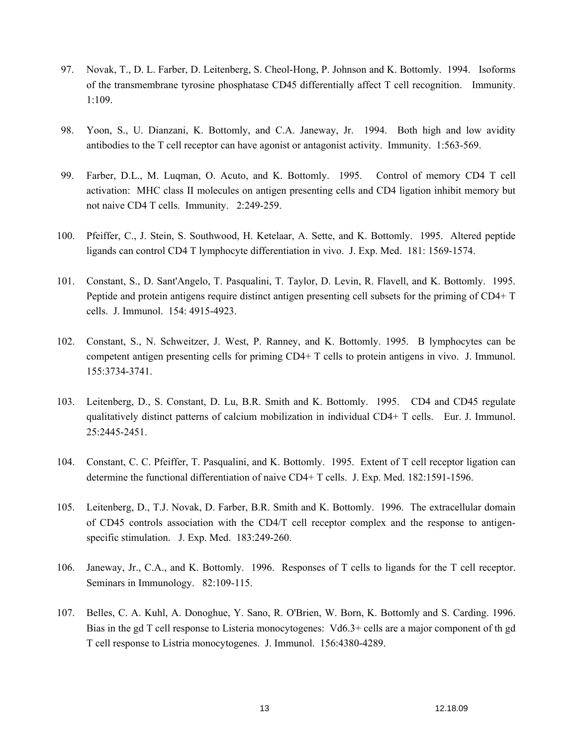- 97. Novak, T., D. L. Farber, D. Leitenberg, S. Cheol-Hong, P. Johnson and K. Bottomly. 1994. Isoforms of the transmembrane tyrosine phosphatase CD45 differentially affect T cell recognition. Immunity. 1:109.
- 98. Yoon, S., U. Dianzani, K. Bottomly, and C.A. Janeway, Jr. 1994. Both high and low avidity antibodies to the T cell receptor can have agonist or antagonist activity. Immunity. 1:563-569.
- 99. Farber, D.L., M. Luqman, O. Acuto, and K. Bottomly. 1995. Control of memory CD4 T cell activation: MHC class II molecules on antigen presenting cells and CD4 ligation inhibit memory but not naive CD4 T cells. Immunity. 2:249-259.
- 100. Pfeiffer, C., J. Stein, S. Southwood, H. Ketelaar, A. Sette, and K. Bottomly. 1995. Altered peptide ligands can control CD4 T lymphocyte differentiation in vivo. J. Exp. Med. 181: 1569-1574.
- 101. Constant, S., D. Sant'Angelo, T. Pasqualini, T. Taylor, D. Levin, R. Flavell, and K. Bottomly. 1995. Peptide and protein antigens require distinct antigen presenting cell subsets for the priming of CD4+ T cells. J. Immunol. 154: 4915-4923.
- 102. Constant, S., N. Schweitzer, J. West, P. Ranney, and K. Bottomly. 1995. B lymphocytes can be competent antigen presenting cells for priming CD4+ T cells to protein antigens in vivo. J. Immunol. 155:3734-3741.
- 103. Leitenberg, D., S. Constant, D. Lu, B.R. Smith and K. Bottomly. 1995. CD4 and CD45 regulate qualitatively distinct patterns of calcium mobilization in individual CD4+ T cells. Eur. J. Immunol. 25:2445-2451.
- 104. Constant, C. C. Pfeiffer, T. Pasqualini, and K. Bottomly. 1995. Extent of T cell receptor ligation can determine the functional differentiation of naive CD4+ T cells. J. Exp. Med. 182:1591-1596.
- 105. Leitenberg, D., T.J. Novak, D. Farber, B.R. Smith and K. Bottomly. 1996. The extracellular domain of CD45 controls association with the CD4/T cell receptor complex and the response to antigenspecific stimulation. J. Exp. Med. 183:249-260.
- 106. Janeway, Jr., C.A., and K. Bottomly. 1996. Responses of T cells to ligands for the T cell receptor. Seminars in Immunology. 82:109-115.
- 107. Belles, C. A. Kuhl, A. Donoghue, Y. Sano, R. O'Brien, W. Born, K. Bottomly and S. Carding. 1996. Bias in the gd T cell response to Listeria monocytogenes: Vd6.3+ cells are a major component of th gd T cell response to Listria monocytogenes. J. Immunol. 156:4380-4289.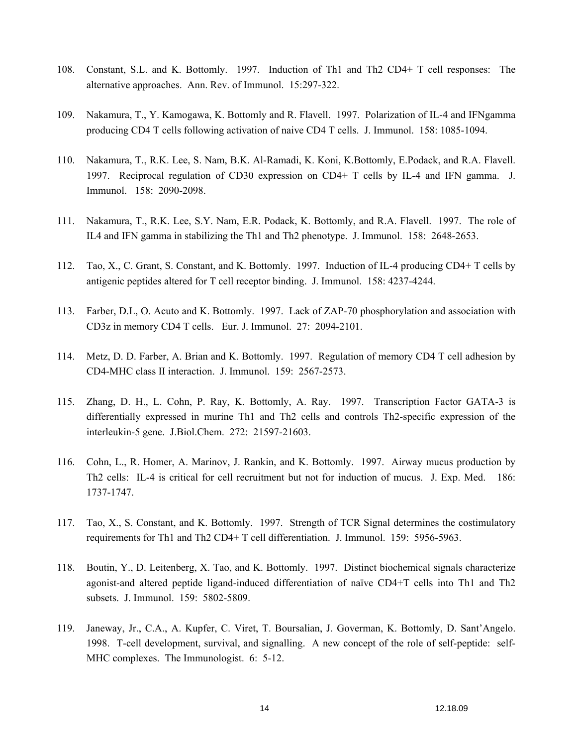- 108. Constant, S.L. and K. Bottomly. 1997. Induction of Th1 and Th2 CD4+ T cell responses: The alternative approaches. Ann. Rev. of Immunol. 15:297-322.
- 109. Nakamura, T., Y. Kamogawa, K. Bottomly and R. Flavell. 1997. Polarization of IL-4 and IFNgamma producing CD4 T cells following activation of naive CD4 T cells. J. Immunol. 158: 1085-1094.
- 110. Nakamura, T., R.K. Lee, S. Nam, B.K. Al-Ramadi, K. Koni, K.Bottomly, E.Podack, and R.A. Flavell. 1997. Reciprocal regulation of CD30 expression on CD4+ T cells by IL-4 and IFN gamma. J. Immunol. 158: 2090-2098.
- 111. Nakamura, T., R.K. Lee, S.Y. Nam, E.R. Podack, K. Bottomly, and R.A. Flavell. 1997. The role of IL4 and IFN gamma in stabilizing the Th1 and Th2 phenotype. J. Immunol. 158: 2648-2653.
- 112. Tao, X., C. Grant, S. Constant, and K. Bottomly. 1997. Induction of IL-4 producing CD4+ T cells by antigenic peptides altered for T cell receptor binding. J. Immunol. 158: 4237-4244.
- 113. Farber, D.L, O. Acuto and K. Bottomly. 1997. Lack of ZAP-70 phosphorylation and association with CD3z in memory CD4 T cells. Eur. J. Immunol. 27: 2094-2101.
- 114. Metz, D. D. Farber, A. Brian and K. Bottomly. 1997. Regulation of memory CD4 T cell adhesion by CD4-MHC class II interaction. J. Immunol. 159: 2567-2573.
- 115. Zhang, D. H., L. Cohn, P. Ray, K. Bottomly, A. Ray. 1997. Transcription Factor GATA-3 is differentially expressed in murine Th1 and Th2 cells and controls Th2-specific expression of the interleukin-5 gene. J.Biol.Chem. 272: 21597-21603.
- 116. Cohn, L., R. Homer, A. Marinov, J. Rankin, and K. Bottomly. 1997. Airway mucus production by Th2 cells: IL-4 is critical for cell recruitment but not for induction of mucus. J. Exp. Med. 186: 1737-1747.
- 117. Tao, X., S. Constant, and K. Bottomly. 1997. Strength of TCR Signal determines the costimulatory requirements for Th1 and Th2 CD4+ T cell differentiation. J. Immunol. 159: 5956-5963.
- 118. Boutin, Y., D. Leitenberg, X. Tao, and K. Bottomly. 1997. Distinct biochemical signals characterize agonist-and altered peptide ligand-induced differentiation of naïve CD4+T cells into Th1 and Th2 subsets. J. Immunol. 159: 5802-5809.
- 119. Janeway, Jr., C.A., A. Kupfer, C. Viret, T. Boursalian, J. Goverman, K. Bottomly, D. Sant'Angelo. 1998. T-cell development, survival, and signalling. A new concept of the role of self-peptide: self-MHC complexes. The Immunologist. 6: 5-12.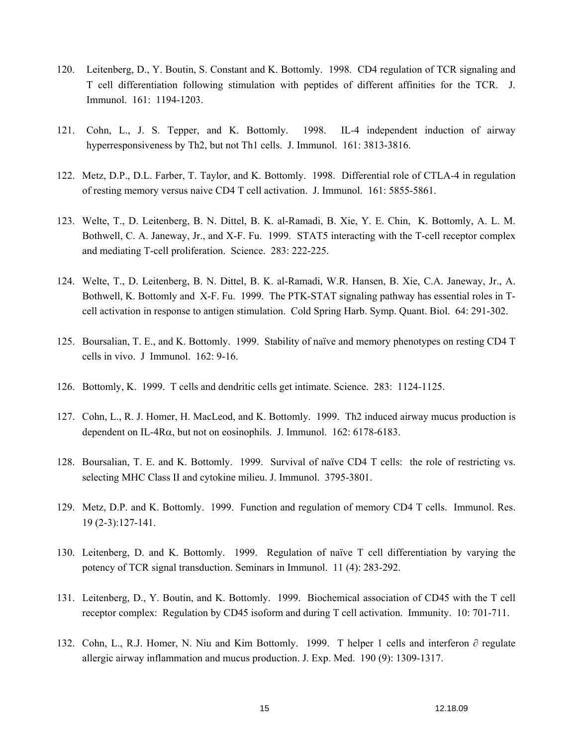- 120. Leitenberg, D., Y. Boutin, S. Constant and K. Bottomly. 1998. CD4 regulation of TCR signaling and T cell differentiation following stimulation with peptides of different affinities for the TCR. J. Immunol. 161: 1194-1203.
- 121. Cohn, L., J. S. Tepper, and K. Bottomly. 1998. IL-4 independent induction of airway hyperresponsiveness by Th2, but not Th1 cells. J. Immunol. 161: 3813-3816.
- 122. Metz, D.P., D.L. Farber, T. Taylor, and K. Bottomly. 1998. Differential role of CTLA-4 in regulation of resting memory versus naive CD4 T cell activation. J. Immunol. 161: 5855-5861.
- 123. Welte, T., D. Leitenberg, B. N. Dittel, B. K. al-Ramadi, B. Xie, Y. E. Chin, K. Bottomly, A. L. M. Bothwell, C. A. Janeway, Jr., and X-F. Fu. 1999. STAT5 interacting with the T-cell receptor complex and mediating T-cell proliferation. Science. 283: 222-225.
- 124. Welte, T., D. Leitenberg, B. N. Dittel, B. K. al-Ramadi, W.R. Hansen, B. Xie, C.A. Janeway, Jr., A. Bothwell, K. Bottomly and X-F. Fu. 1999. The PTK-STAT signaling pathway has essential roles in Tcell activation in response to antigen stimulation. Cold Spring Harb. Symp. Quant. Biol. 64: 291-302.
- 125. Boursalian, T. E., and K. Bottomly. 1999. Stability of naïve and memory phenotypes on resting CD4 T cells in vivo. J Immunol. 162: 9-16.
- 126. Bottomly, K. 1999. T cells and dendritic cells get intimate. Science. 283: 1124-1125.
- 127. Cohn, L., R. J. Homer, H. MacLeod, and K. Bottomly. 1999. Th2 induced airway mucus production is dependent on IL-4Rα, but not on eosinophils. J. Immunol. 162: 6178-6183.
- 128. Boursalian, T. E. and K. Bottomly. 1999. Survival of naïve CD4 T cells: the role of restricting vs. selecting MHC Class II and cytokine milieu. J. Immunol. 3795-3801.
- 129. Metz, D.P. and K. Bottomly. 1999. Function and regulation of memory CD4 T cells. Immunol. Res. 19 (2-3):127-141.
- 130. Leitenberg, D. and K. Bottomly. 1999. Regulation of naïve T cell differentiation by varying the potency of TCR signal transduction. Seminars in Immunol. 11 (4): 283-292.
- 131. Leitenberg, D., Y. Boutin, and K. Bottomly. 1999. Biochemical association of CD45 with the T cell receptor complex: Regulation by CD45 isoform and during T cell activation. Immunity. 10: 701-711.
- 132. Cohn, L., R.J. Homer, N. Niu and Kim Bottomly. 1999. T helper 1 cells and interferon ∂ regulate allergic airway inflammation and mucus production. J. Exp. Med. 190 (9): 1309-1317.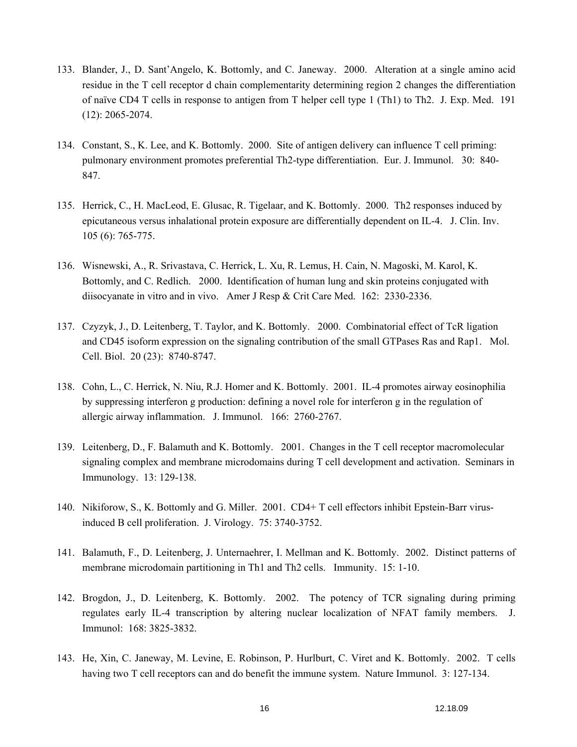- 133. Blander, J., D. Sant'Angelo, K. Bottomly, and C. Janeway. 2000. Alteration at a single amino acid residue in the T cell receptor d chain complementarity determining region 2 changes the differentiation of naïve CD4 T cells in response to antigen from T helper cell type 1 (Th1) to Th2. J. Exp. Med. 191 (12): 2065-2074.
- 134. Constant, S., K. Lee, and K. Bottomly. 2000. Site of antigen delivery can influence T cell priming: pulmonary environment promotes preferential Th2-type differentiation. Eur. J. Immunol. 30: 840- 847.
- 135. Herrick, C., H. MacLeod, E. Glusac, R. Tigelaar, and K. Bottomly. 2000. Th2 responses induced by epicutaneous versus inhalational protein exposure are differentially dependent on IL-4. J. Clin. Inv. 105 (6): 765-775.
- 136. Wisnewski, A., R. Srivastava, C. Herrick, L. Xu, R. Lemus, H. Cain, N. Magoski, M. Karol, K. Bottomly, and C. Redlich. 2000. Identification of human lung and skin proteins conjugated with diisocyanate in vitro and in vivo. Amer J Resp & Crit Care Med. 162: 2330-2336.
- 137. Czyzyk, J., D. Leitenberg, T. Taylor, and K. Bottomly. 2000. Combinatorial effect of TcR ligation and CD45 isoform expression on the signaling contribution of the small GTPases Ras and Rap1. Mol. Cell. Biol. 20 (23): 8740-8747.
- 138. Cohn, L., C. Herrick, N. Niu, R.J. Homer and K. Bottomly. 2001. IL-4 promotes airway eosinophilia by suppressing interferon g production: defining a novel role for interferon g in the regulation of allergic airway inflammation. J. Immunol. 166: 2760-2767.
- 139. Leitenberg, D., F. Balamuth and K. Bottomly. 2001. Changes in the T cell receptor macromolecular signaling complex and membrane microdomains during T cell development and activation. Seminars in Immunology. 13: 129-138.
- 140. Nikiforow, S., K. Bottomly and G. Miller. 2001. CD4+ T cell effectors inhibit Epstein-Barr virusinduced B cell proliferation. J. Virology. 75: 3740-3752.
- 141. Balamuth, F., D. Leitenberg, J. Unternaehrer, I. Mellman and K. Bottomly. 2002. Distinct patterns of membrane microdomain partitioning in Th1 and Th2 cells. Immunity. 15: 1-10.
- 142. Brogdon, J., D. Leitenberg, K. Bottomly. 2002. The potency of TCR signaling during priming regulates early IL-4 transcription by altering nuclear localization of NFAT family members. J. Immunol: 168: 3825-3832.
- 143. He, Xin, C. Janeway, M. Levine, E. Robinson, P. Hurlburt, C. Viret and K. Bottomly. 2002. T cells having two T cell receptors can and do benefit the immune system. Nature Immunol. 3: 127-134.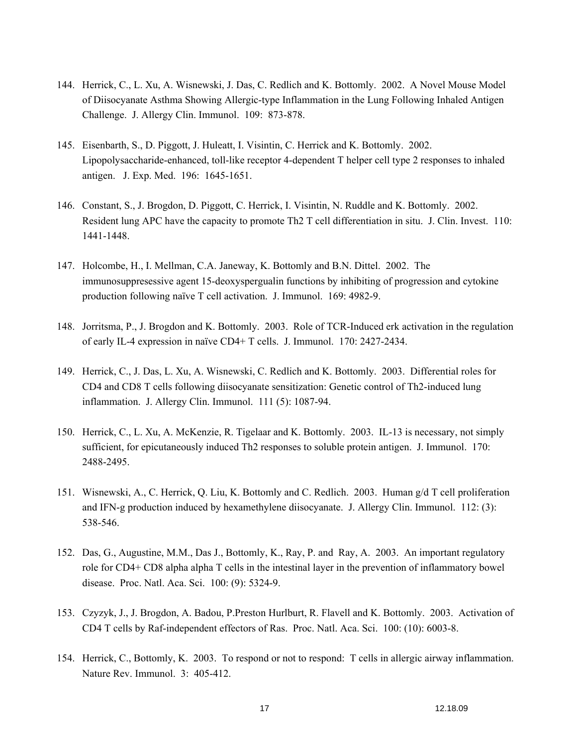- 144. Herrick, C., L. Xu, A. Wisnewski, J. Das, C. Redlich and K. Bottomly. 2002. A Novel Mouse Model of Diisocyanate Asthma Showing Allergic-type Inflammation in the Lung Following Inhaled Antigen Challenge. J. Allergy Clin. Immunol. 109: 873-878.
- 145. Eisenbarth, S., D. Piggott, J. Huleatt, I. Visintin, C. Herrick and K. Bottomly. 2002. Lipopolysaccharide-enhanced, toll-like receptor 4-dependent T helper cell type 2 responses to inhaled antigen. J. Exp. Med. 196: 1645-1651.
- 146. Constant, S., J. Brogdon, D. Piggott, C. Herrick, I. Visintin, N. Ruddle and K. Bottomly. 2002. Resident lung APC have the capacity to promote Th2 T cell differentiation in situ. J. Clin. Invest. 110: 1441-1448.
- 147. Holcombe, H., I. Mellman, C.A. Janeway, K. Bottomly and B.N. Dittel. 2002. The immunosuppresessive agent 15-deoxyspergualin functions by inhibiting of progression and cytokine production following naïve T cell activation. J. Immunol. 169: 4982-9.
- 148. Jorritsma, P., J. Brogdon and K. Bottomly. 2003. Role of TCR-Induced erk activation in the regulation of early IL-4 expression in naïve CD4+ T cells. J. Immunol. 170: 2427-2434.
- 149. Herrick, C., J. Das, L. Xu, A. Wisnewski, C. Redlich and K. Bottomly. 2003. Differential roles for CD4 and CD8 T cells following diisocyanate sensitization: Genetic control of Th2-induced lung inflammation. J. Allergy Clin. Immunol. 111 (5): 1087-94.
- 150. Herrick, C., L. Xu, A. McKenzie, R. Tigelaar and K. Bottomly. 2003. IL-13 is necessary, not simply sufficient, for epicutaneously induced Th2 responses to soluble protein antigen. J. Immunol. 170: 2488-2495.
- 151. Wisnewski, A., C. Herrick, Q. Liu, K. Bottomly and C. Redlich. 2003. Human g/d T cell proliferation and IFN-g production induced by hexamethylene diisocyanate. J. Allergy Clin. Immunol. 112: (3): 538-546.
- 152. Das, G., Augustine, M.M., Das J., Bottomly, K., Ray, P. and Ray, A. 2003. An important regulatory role for CD4+ CD8 alpha alpha T cells in the intestinal layer in the prevention of inflammatory bowel disease. Proc. Natl. Aca. Sci. 100: (9): 5324-9.
- 153. Czyzyk, J., J. Brogdon, A. Badou, P.Preston Hurlburt, R. Flavell and K. Bottomly. 2003. Activation of CD4 T cells by Raf-independent effectors of Ras. Proc. Natl. Aca. Sci. 100: (10): 6003-8.
- 154. Herrick, C., Bottomly, K. 2003. To respond or not to respond: T cells in allergic airway inflammation. Nature Rev. Immunol. 3: 405-412.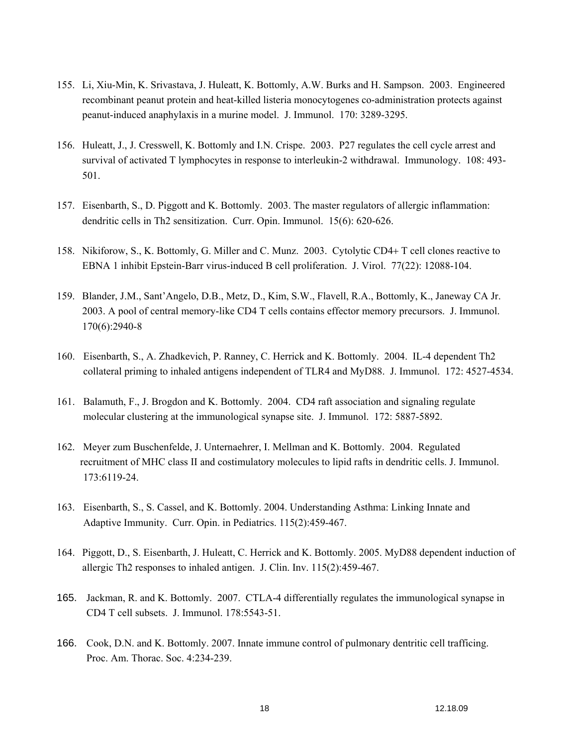- 155. Li, Xiu-Min, K. Srivastava, J. Huleatt, K. Bottomly, A.W. Burks and H. Sampson. 2003. Engineered recombinant peanut protein and heat-killed listeria monocytogenes co-administration protects against peanut-induced anaphylaxis in a murine model. J. Immunol. 170: 3289-3295.
- 156. Huleatt, J., J. Cresswell, K. Bottomly and I.N. Crispe. 2003. P27 regulates the cell cycle arrest and survival of activated T lymphocytes in response to interleukin-2 withdrawal. Immunology. 108: 493- 501.
- 157. Eisenbarth, S., D. Piggott and K. Bottomly. 2003. The master regulators of allergic inflammation: dendritic cells in Th2 sensitization. Curr. Opin. Immunol. 15(6): 620-626.
- 158. Nikiforow, S., K. Bottomly, G. Miller and C. Munz. 2003. Cytolytic CD4+ T cell clones reactive to EBNA 1 inhibit Epstein-Barr virus-induced B cell proliferation. J. Virol. 77(22): 12088-104.
- 159. Blander, J.M., Sant'Angelo, D.B., Metz, D., Kim, S.W., Flavell, R.A., Bottomly, K., Janeway CA Jr. 2003. A pool of central memory-like CD4 T cells contains effector memory precursors. J. Immunol. 170(6):2940-8
- 160. Eisenbarth, S., A. Zhadkevich, P. Ranney, C. Herrick and K. Bottomly. 2004. IL-4 dependent Th2 collateral priming to inhaled antigens independent of TLR4 and MyD88. J. Immunol. 172: 4527-4534.
- 161. Balamuth, F., J. Brogdon and K. Bottomly. 2004. CD4 raft association and signaling regulate molecular clustering at the immunological synapse site. J. Immunol. 172: 5887-5892.
- 162. Meyer zum Buschenfelde, J. Unternaehrer, I. Mellman and K. Bottomly. 2004. Regulated recruitment of MHC class II and costimulatory molecules to lipid rafts in dendritic cells. J. Immunol. 173:6119-24.
- 163. Eisenbarth, S., S. Cassel, and K. Bottomly. 2004. Understanding Asthma: Linking Innate and Adaptive Immunity. Curr. Opin. in Pediatrics. 115(2):459-467.
- 164. Piggott, D., S. Eisenbarth, J. Huleatt, C. Herrick and K. Bottomly. 2005. MyD88 dependent induction of allergic Th2 responses to inhaled antigen. J. Clin. Inv. 115(2):459-467.
- 165. Jackman, R. and K. Bottomly. 2007. CTLA-4 differentially regulates the immunological synapse in CD4 T cell subsets. J. Immunol. 178:5543-51.
- 166. Cook, D.N. and K. Bottomly. 2007. Innate immune control of pulmonary dentritic cell trafficing. Proc. Am. Thorac. Soc. 4:234-239.